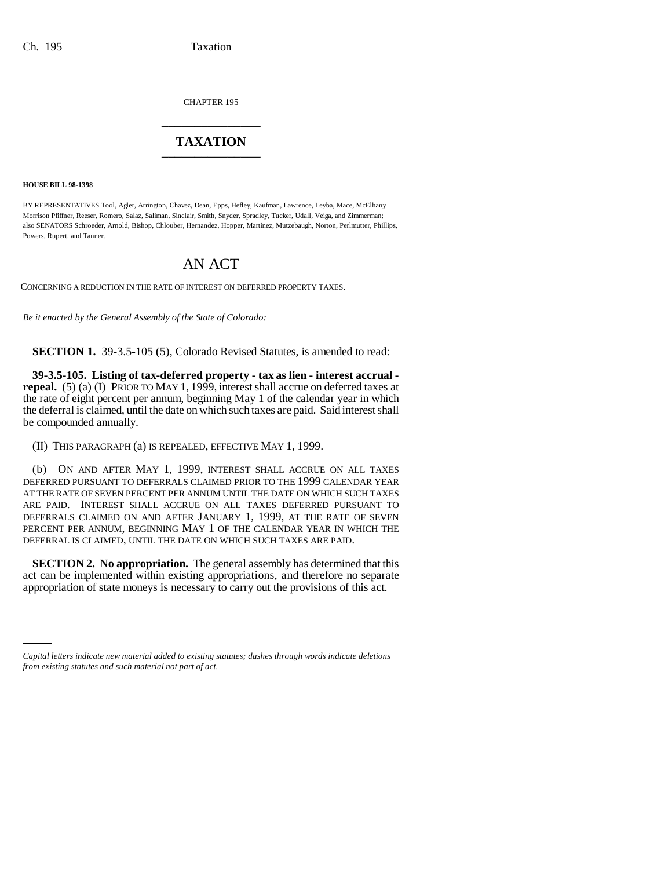CHAPTER 195 \_\_\_\_\_\_\_\_\_\_\_\_\_\_\_

## **TAXATION** \_\_\_\_\_\_\_\_\_\_\_\_\_\_\_

**HOUSE BILL 98-1398**

BY REPRESENTATIVES Tool, Agler, Arrington, Chavez, Dean, Epps, Hefley, Kaufman, Lawrence, Leyba, Mace, McElhany Morrison Pfiffner, Reeser, Romero, Salaz, Saliman, Sinclair, Smith, Snyder, Spradley, Tucker, Udall, Veiga, and Zimmerman; also SENATORS Schroeder, Arnold, Bishop, Chlouber, Hernandez, Hopper, Martinez, Mutzebaugh, Norton, Perlmutter, Phillips, Powers, Rupert, and Tanner.

## AN ACT

CONCERNING A REDUCTION IN THE RATE OF INTEREST ON DEFERRED PROPERTY TAXES.

*Be it enacted by the General Assembly of the State of Colorado:*

**SECTION 1.** 39-3.5-105 (5), Colorado Revised Statutes, is amended to read:

**39-3.5-105. Listing of tax-deferred property - tax as lien - interest accrual repeal.** (5) (a) (I) PRIOR TO MAY 1, 1999, interest shall accrue on deferred taxes at the rate of eight percent per annum, beginning May 1 of the calendar year in which the deferral is claimed, until the date on which such taxes are paid. Said interest shall be compounded annually.

(II) THIS PARAGRAPH (a) IS REPEALED, EFFECTIVE MAY 1, 1999.

(b) ON AND AFTER MAY 1, 1999, INTEREST SHALL ACCRUE ON ALL TAXES DEFERRED PURSUANT TO DEFERRALS CLAIMED PRIOR TO THE 1999 CALENDAR YEAR AT THE RATE OF SEVEN PERCENT PER ANNUM UNTIL THE DATE ON WHICH SUCH TAXES ARE PAID. INTEREST SHALL ACCRUE ON ALL TAXES DEFERRED PURSUANT TO DEFERRALS CLAIMED ON AND AFTER JANUARY 1, 1999, AT THE RATE OF SEVEN PERCENT PER ANNUM, BEGINNING MAY 1 OF THE CALENDAR YEAR IN WHICH THE DEFERRAL IS CLAIMED, UNTIL THE DATE ON WHICH SUCH TAXES ARE PAID.

appropriation of state moneys is necessary to carry out the provisions of this act.**SECTION 2. No appropriation.** The general assembly has determined that this act can be implemented within existing appropriations, and therefore no separate

*Capital letters indicate new material added to existing statutes; dashes through words indicate deletions from existing statutes and such material not part of act.*